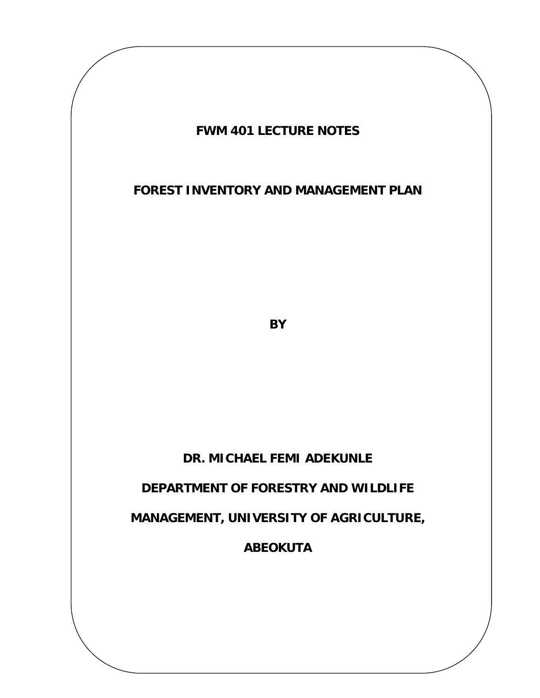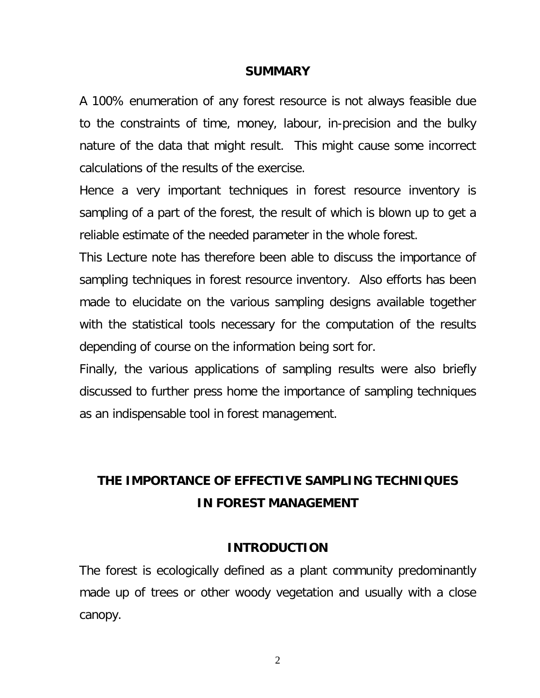### **SUMMARY**

A 100% enumeration of any forest resource is not always feasible due to the constraints of time, money, labour, in-precision and the bulky nature of the data that might result. This might cause some incorrect calculations of the results of the exercise.

Hence a very important techniques in forest resource inventory is sampling of a part of the forest, the result of which is blown up to get a reliable estimate of the needed parameter in the whole forest.

This Lecture note has therefore been able to discuss the importance of sampling techniques in forest resource inventory. Also efforts has been made to elucidate on the various sampling designs available together with the statistical tools necessary for the computation of the results depending of course on the information being sort for.

Finally, the various applications of sampling results were also briefly discussed to further press home the importance of sampling techniques as an indispensable tool in forest management.

# **THE IMPORTANCE OF EFFECTIVE SAMPLING TECHNIQUES IN FOREST MANAGEMENT**

### **INTRODUCTION**

The forest is ecologically defined as a plant community predominantly made up of trees or other woody vegetation and usually with a close canopy.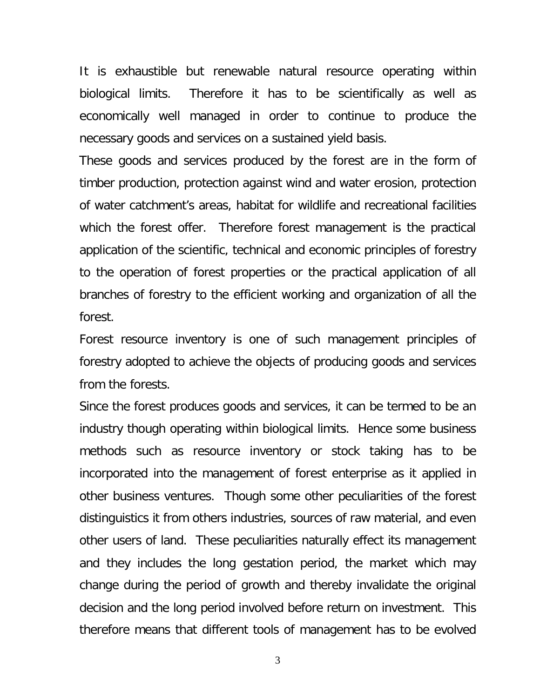It is exhaustible but renewable natural resource operating within biological limits. Therefore it has to be scientifically as well as economically well managed in order to continue to produce the necessary goods and services on a sustained yield basis.

These goods and services produced by the forest are in the form of timber production, protection against wind and water erosion, protection of water catchment's areas, habitat for wildlife and recreational facilities which the forest offer. Therefore forest management is the practical application of the scientific, technical and economic principles of forestry to the operation of forest properties or the practical application of all branches of forestry to the efficient working and organization of all the forest.

Forest resource inventory is one of such management principles of forestry adopted to achieve the objects of producing goods and services from the forests.

Since the forest produces goods and services, it can be termed to be an industry though operating within biological limits. Hence some business methods such as resource inventory or stock taking has to be incorporated into the management of forest enterprise as it applied in other business ventures. Though some other peculiarities of the forest distinguistics it from others industries, sources of raw material, and even other users of land. These peculiarities naturally effect its management and they includes the long gestation period, the market which may change during the period of growth and thereby invalidate the original decision and the long period involved before return on investment. This therefore means that different tools of management has to be evolved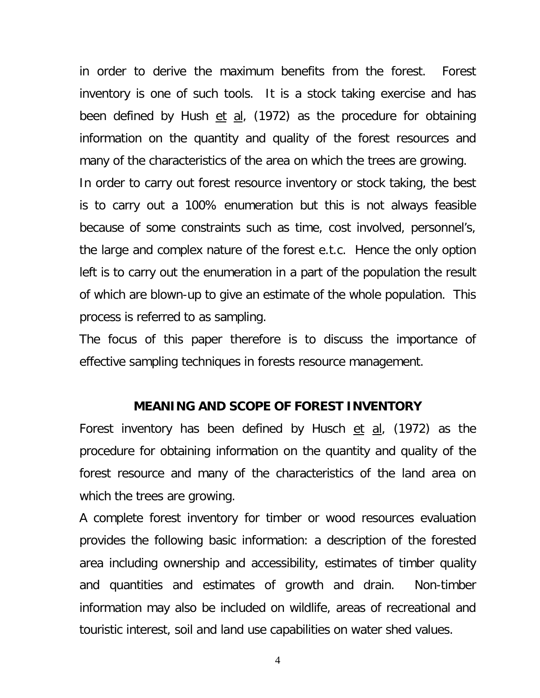in order to derive the maximum benefits from the forest. Forest inventory is one of such tools. It is a stock taking exercise and has been defined by Hush  $et$  al, (1972) as the procedure for obtaining information on the quantity and quality of the forest resources and many of the characteristics of the area on which the trees are growing.

In order to carry out forest resource inventory or stock taking, the best is to carry out a 100% enumeration but this is not always feasible because of some constraints such as time, cost involved, personnel's, the large and complex nature of the forest e.t.c. Hence the only option left is to carry out the enumeration in a part of the population the result of which are blown-up to give an estimate of the whole population. This process is referred to as sampling.

The focus of this paper therefore is to discuss the importance of effective sampling techniques in forests resource management.

### **MEANING AND SCOPE OF FOREST INVENTORY**

Forest inventory has been defined by Husch et al, (1972) as the procedure for obtaining information on the quantity and quality of the forest resource and many of the characteristics of the land area on which the trees are growing.

A complete forest inventory for timber or wood resources evaluation provides the following basic information: a description of the forested area including ownership and accessibility, estimates of timber quality and quantities and estimates of growth and drain. Non-timber information may also be included on wildlife, areas of recreational and touristic interest, soil and land use capabilities on water shed values.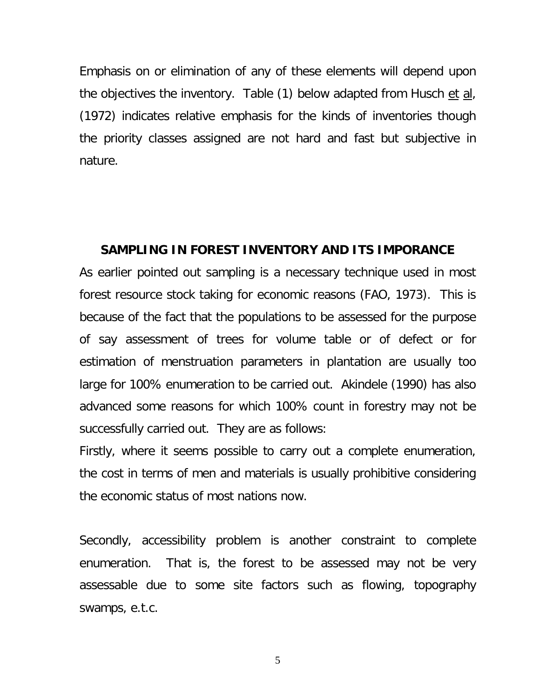Emphasis on or elimination of any of these elements will depend upon the objectives the inventory. Table (1) below adapted from Husch et al, (1972) indicates relative emphasis for the kinds of inventories though the priority classes assigned are not hard and fast but subjective in nature.

#### **SAMPLING IN FOREST INVENTORY AND ITS IMPORANCE**

As earlier pointed out sampling is a necessary technique used in most forest resource stock taking for economic reasons (FAO, 1973). This is because of the fact that the populations to be assessed for the purpose of say assessment of trees for volume table or of defect or for estimation of menstruation parameters in plantation are usually too large for 100% enumeration to be carried out. Akindele (1990) has also advanced some reasons for which 100% count in forestry may not be successfully carried out. They are as follows:

Firstly, where it seems possible to carry out a complete enumeration, the cost in terms of men and materials is usually prohibitive considering the economic status of most nations now.

Secondly, accessibility problem is another constraint to complete enumeration. That is, the forest to be assessed may not be very assessable due to some site factors such as flowing, topography swamps, e.t.c.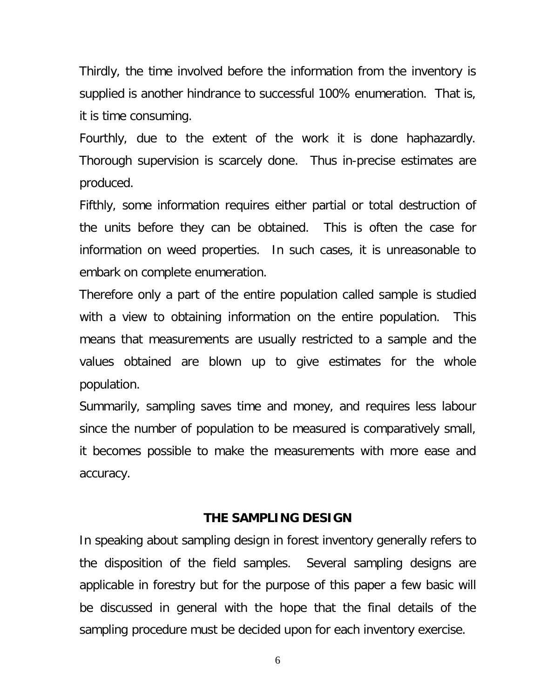Thirdly, the time involved before the information from the inventory is supplied is another hindrance to successful 100% enumeration. That is, it is time consuming.

Fourthly, due to the extent of the work it is done haphazardly. Thorough supervision is scarcely done. Thus in-precise estimates are produced.

Fifthly, some information requires either partial or total destruction of the units before they can be obtained. This is often the case for information on weed properties. In such cases, it is unreasonable to embark on complete enumeration.

Therefore only a part of the entire population called sample is studied with a view to obtaining information on the entire population. This means that measurements are usually restricted to a sample and the values obtained are blown up to give estimates for the whole population.

Summarily, sampling saves time and money, and requires less labour since the number of population to be measured is comparatively small, it becomes possible to make the measurements with more ease and accuracy.

### **THE SAMPLING DESIGN**

In speaking about sampling design in forest inventory generally refers to the disposition of the field samples. Several sampling designs are applicable in forestry but for the purpose of this paper a few basic will be discussed in general with the hope that the final details of the sampling procedure must be decided upon for each inventory exercise.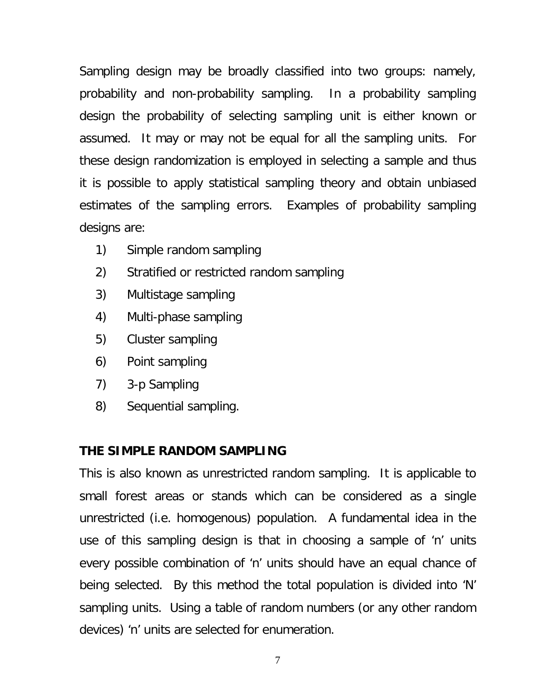Sampling design may be broadly classified into two groups: namely, probability and non-probability sampling. In a probability sampling design the probability of selecting sampling unit is either known or assumed. It may or may not be equal for all the sampling units. For these design randomization is employed in selecting a sample and thus it is possible to apply statistical sampling theory and obtain unbiased estimates of the sampling errors. Examples of probability sampling designs are:

- 1) Simple random sampling
- 2) Stratified or restricted random sampling
- 3) Multistage sampling
- 4) Multi-phase sampling
- 5) Cluster sampling
- 6) Point sampling
- 7) 3-p Sampling
- 8) Sequential sampling.

# **THE SIMPLE RANDOM SAMPLING**

This is also known as unrestricted random sampling. It is applicable to small forest areas or stands which can be considered as a single unrestricted (i.e. homogenous) population. A fundamental idea in the use of this sampling design is that in choosing a sample of 'n' units every possible combination of 'n' units should have an equal chance of being selected. By this method the total population is divided into 'N' sampling units. Using a table of random numbers (or any other random devices) 'n' units are selected for enumeration.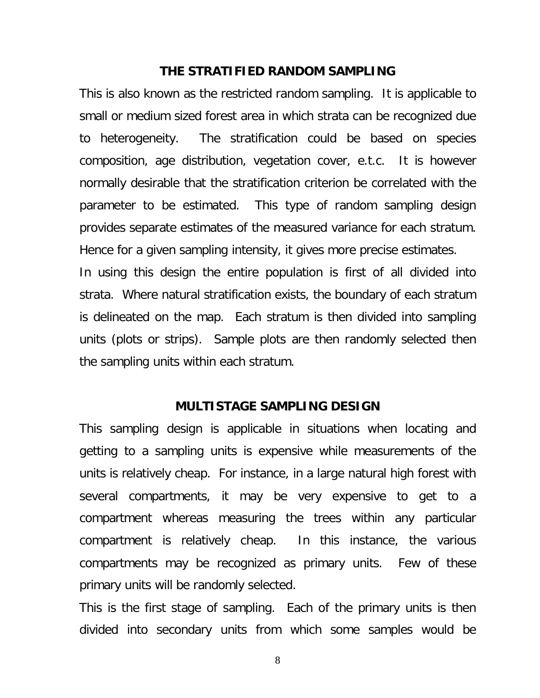### **THE STRATIFIED RANDOM SAMPLING**

This is also known as the restricted random sampling. It is applicable to small or medium sized forest area in which strata can be recognized due to heterogeneity. The stratification could be based on species composition, age distribution, vegetation cover, e.t.c. It is however normally desirable that the stratification criterion be correlated with the parameter to be estimated. This type of random sampling design provides separate estimates of the measured variance for each stratum. Hence for a given sampling intensity, it gives more precise estimates. In using this design the entire population is first of all divided into

strata. Where natural stratification exists, the boundary of each stratum is delineated on the map. Each stratum is then divided into sampling units (plots or strips). Sample plots are then randomly selected then the sampling units within each stratum.

### **MULTISTAGE SAMPLING DESIGN**

This sampling design is applicable in situations when locating and getting to a sampling units is expensive while measurements of the units is relatively cheap. For instance, in a large natural high forest with several compartments, it may be very expensive to get to a compartment whereas measuring the trees within any particular compartment is relatively cheap. In this instance, the various compartments may be recognized as primary units. Few of these primary units will be randomly selected.

This is the first stage of sampling. Each of the primary units is then divided into secondary units from which some samples would be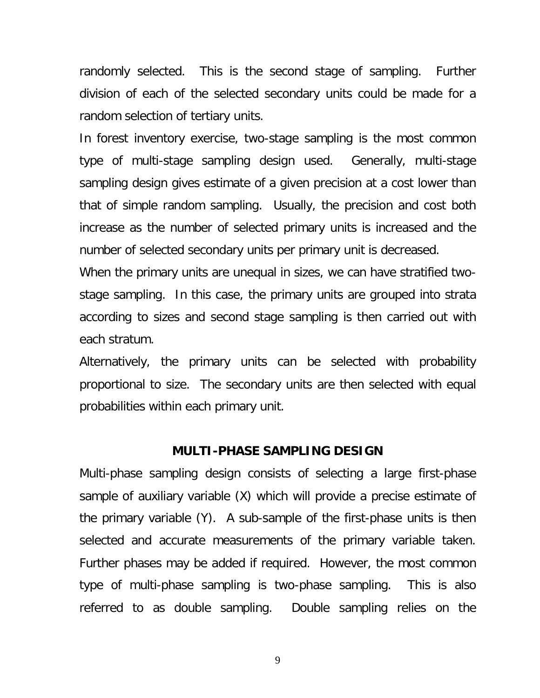randomly selected. This is the second stage of sampling. Further division of each of the selected secondary units could be made for a random selection of tertiary units.

In forest inventory exercise, two-stage sampling is the most common type of multi-stage sampling design used. Generally, multi-stage sampling design gives estimate of a given precision at a cost lower than that of simple random sampling. Usually, the precision and cost both increase as the number of selected primary units is increased and the number of selected secondary units per primary unit is decreased.

When the primary units are unequal in sizes, we can have stratified twostage sampling. In this case, the primary units are grouped into strata according to sizes and second stage sampling is then carried out with each stratum.

Alternatively, the primary units can be selected with probability proportional to size. The secondary units are then selected with equal probabilities within each primary unit.

### **MULTI-PHASE SAMPLING DESIGN**

Multi-phase sampling design consists of selecting a large first-phase sample of auxiliary variable (X) which will provide a precise estimate of the primary variable (Y). A sub-sample of the first-phase units is then selected and accurate measurements of the primary variable taken. Further phases may be added if required. However, the most common type of multi-phase sampling is two-phase sampling. This is also referred to as double sampling. Double sampling relies on the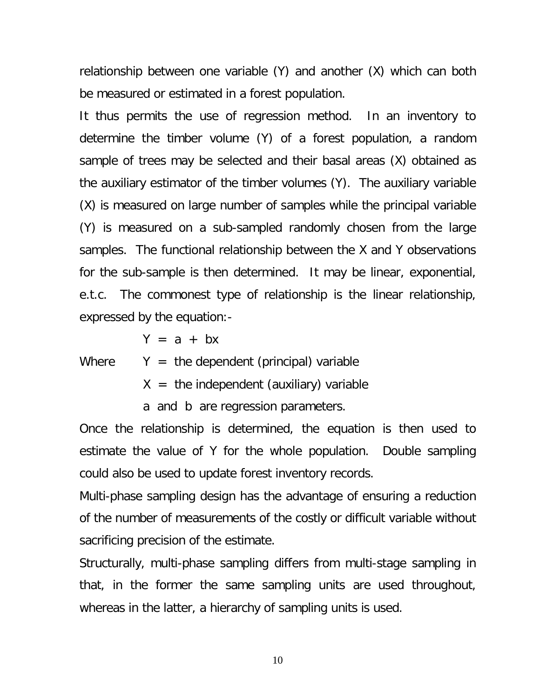relationship between one variable (Y) and another (X) which can both be measured or estimated in a forest population.

It thus permits the use of regression method. In an inventory to determine the timber volume (Y) of a forest population, a random sample of trees may be selected and their basal areas (X) obtained as the auxiliary estimator of the timber volumes (Y). The auxiliary variable (X) is measured on large number of samples while the principal variable (Y) is measured on a sub-sampled randomly chosen from the large samples. The functional relationship between the X and Y observations for the sub-sample is then determined. It may be linear, exponential, e.t.c. The commonest type of relationship is the linear relationship, expressed by the equation:-

 $Y = a + bx$ 

Where  $Y =$  the dependent (principal) variable

 $X =$  the independent (auxiliary) variable

a and b are regression parameters.

Once the relationship is determined, the equation is then used to estimate the value of Y for the whole population. Double sampling could also be used to update forest inventory records.

Multi-phase sampling design has the advantage of ensuring a reduction of the number of measurements of the costly or difficult variable without sacrificing precision of the estimate.

Structurally, multi-phase sampling differs from multi-stage sampling in that, in the former the same sampling units are used throughout, whereas in the latter, a hierarchy of sampling units is used.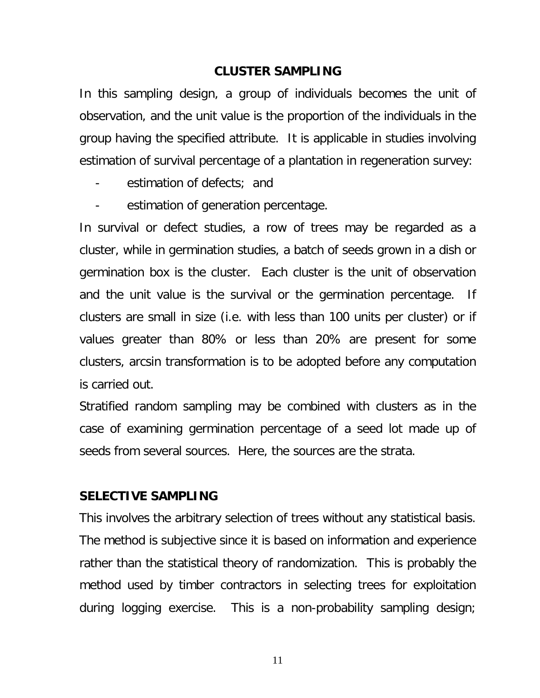### **CLUSTER SAMPLING**

In this sampling design, a group of individuals becomes the unit of observation, and the unit value is the proportion of the individuals in the group having the specified attribute. It is applicable in studies involving estimation of survival percentage of a plantation in regeneration survey:

- estimation of defects; and
- estimation of generation percentage.

In survival or defect studies, a row of trees may be regarded as a cluster, while in germination studies, a batch of seeds grown in a dish or germination box is the cluster. Each cluster is the unit of observation and the unit value is the survival or the germination percentage. If clusters are small in size (i.e. with less than 100 units per cluster) or if values greater than 80% or less than 20% are present for some clusters, arcsin transformation is to be adopted before any computation is carried out.

Stratified random sampling may be combined with clusters as in the case of examining germination percentage of a seed lot made up of seeds from several sources. Here, the sources are the strata.

### **SELECTIVE SAMPLING**

This involves the arbitrary selection of trees without any statistical basis. The method is subjective since it is based on information and experience rather than the statistical theory of randomization. This is probably the method used by timber contractors in selecting trees for exploitation during logging exercise. This is a non-probability sampling design;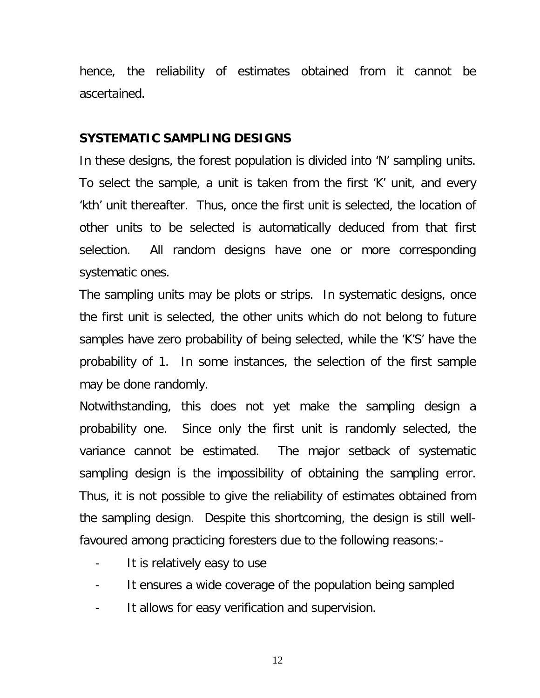hence, the reliability of estimates obtained from it cannot be ascertained.

#### **SYSTEMATIC SAMPLING DESIGNS**

In these designs, the forest population is divided into 'N' sampling units. To select the sample, a unit is taken from the first 'K' unit, and every 'kth' unit thereafter. Thus, once the first unit is selected, the location of other units to be selected is automatically deduced from that first selection. All random designs have one or more corresponding systematic ones.

The sampling units may be plots or strips. In systematic designs, once the first unit is selected, the other units which do not belong to future samples have zero probability of being selected, while the 'K'S' have the probability of 1. In some instances, the selection of the first sample may be done randomly.

Notwithstanding, this does not yet make the sampling design a probability one. Since only the first unit is randomly selected, the variance cannot be estimated. The major setback of systematic sampling design is the impossibility of obtaining the sampling error. Thus, it is not possible to give the reliability of estimates obtained from the sampling design. Despite this shortcoming, the design is still wellfavoured among practicing foresters due to the following reasons:-

- It is relatively easy to use
- It ensures a wide coverage of the population being sampled
- It allows for easy verification and supervision.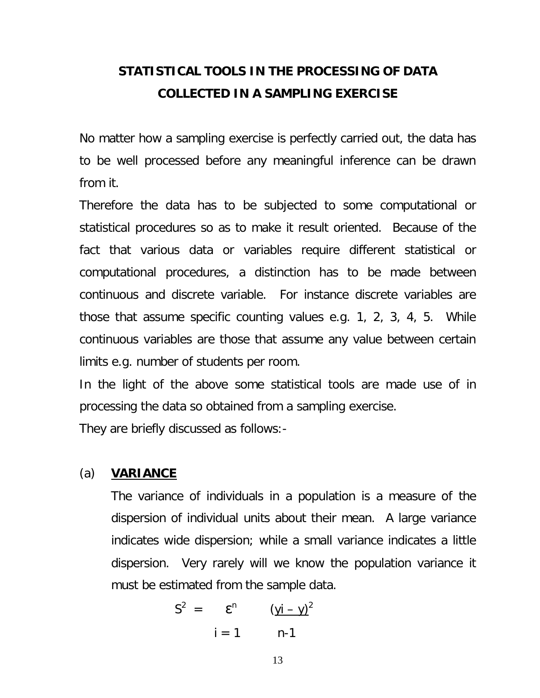# **STATISTICAL TOOLS IN THE PROCESSING OF DATA COLLECTED IN A SAMPLING EXERCISE**

No matter how a sampling exercise is perfectly carried out, the data has to be well processed before any meaningful inference can be drawn from it.

Therefore the data has to be subjected to some computational or statistical procedures so as to make it result oriented. Because of the fact that various data or variables require different statistical or computational procedures, a distinction has to be made between continuous and discrete variable. For instance discrete variables are those that assume specific counting values e.g. 1, 2, 3, 4, 5. While continuous variables are those that assume any value between certain limits e.g. number of students per room.

In the light of the above some statistical tools are made use of in processing the data so obtained from a sampling exercise.

They are briefly discussed as follows:-

### (a) **VARIANCE**

The variance of individuals in a population is a measure of the dispersion of individual units about their mean. A large variance indicates wide dispersion; while a small variance indicates a little dispersion. Very rarely will we know the population variance it must be estimated from the sample data.

$$
S2 = \mathbf{\varepsilon}^{n} \qquad (\underline{y}i - \underline{y})^{2}
$$

$$
i = 1 \qquad n-1
$$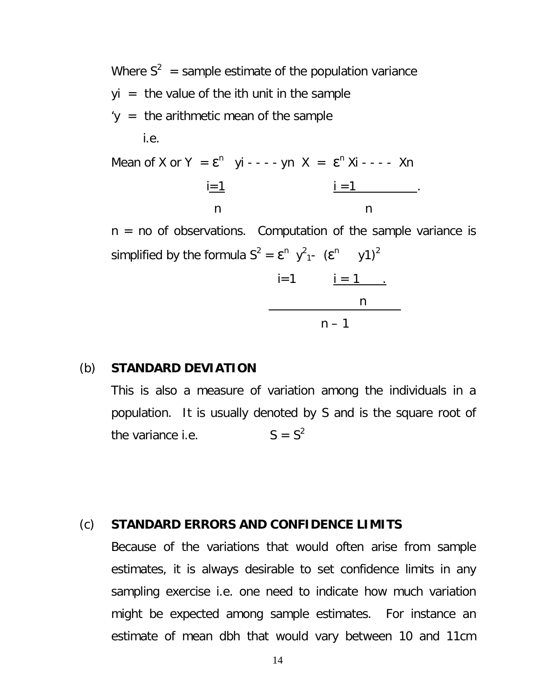Where  $S^2$  = sample estimate of the population variance  $yi =$  the value of the ith unit in the sample  $y =$  the arithmetic mean of the sample i.e.

Mean of X or Y =  $\epsilon^n$  yi - - - - yn X =  $\epsilon^n$  Xi - - - - Xn  $i = 1$  .  $i = 1$  . n n

 $n = no$  of observations. Computation of the sample variance is simplified by the formula  $S^2 = \mathbf{\epsilon}^n \ y^2_{1}$ -  $(\mathbf{\epsilon}^n \ y^2)^2$ 

$$
i=1
$$
  
\ni = 1  
\nn  
\nn

### (b) **STANDARD DEVIATION**

This is also a measure of variation among the individuals in a population. It is usually denoted by S and is the square root of the variance i.e.  $S = S^2$ 

#### (c) **STANDARD ERRORS AND CONFIDENCE LIMITS**

Because of the variations that would often arise from sample estimates, it is always desirable to set confidence limits in any sampling exercise i.e. one need to indicate how much variation might be expected among sample estimates. For instance an estimate of mean dbh that would vary between 10 and 11cm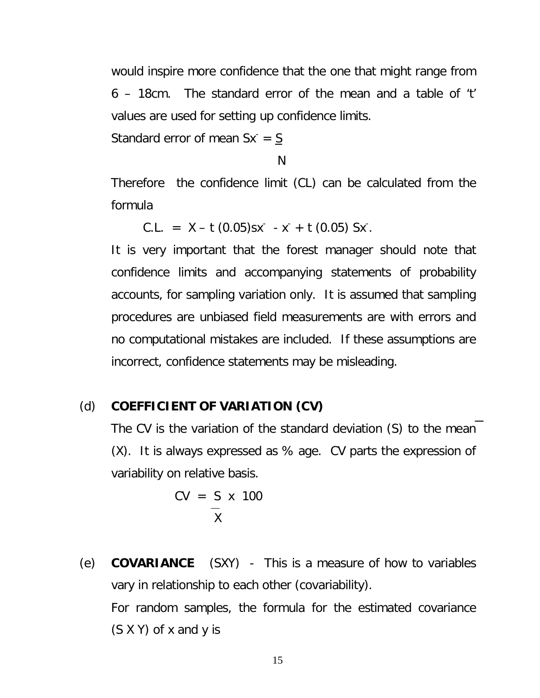would inspire more confidence that the one that might range from 6 – 18cm. The standard error of the mean and a table of 't' values are used for setting up confidence limits.

Standard error of mean  $Sx = S$ 

N

Therefore the confidence limit (CL) can be calculated from the formula

 $C.L. = X - t (0.05)sx - x + t (0.05) Sx.$ 

It is very important that the forest manager should note that confidence limits and accompanying statements of probability accounts, for sampling variation only. It is assumed that sampling procedures are unbiased field measurements are with errors and no computational mistakes are included. If these assumptions are incorrect, confidence statements may be misleading.

## (d) **COEFFICIENT OF VARIATION (CV)**

The CV is the variation of the standard deviation (S) to the mean (X). It is always expressed as % age. CV parts the expression of variability on relative basis.

> $CV = S \times 100$  $\overline{x}$

(e) **COVARIANCE** (SXY) - This is a measure of how to variables vary in relationship to each other (covariability). For random samples, the formula for the estimated covariance (S X Y) of x and y is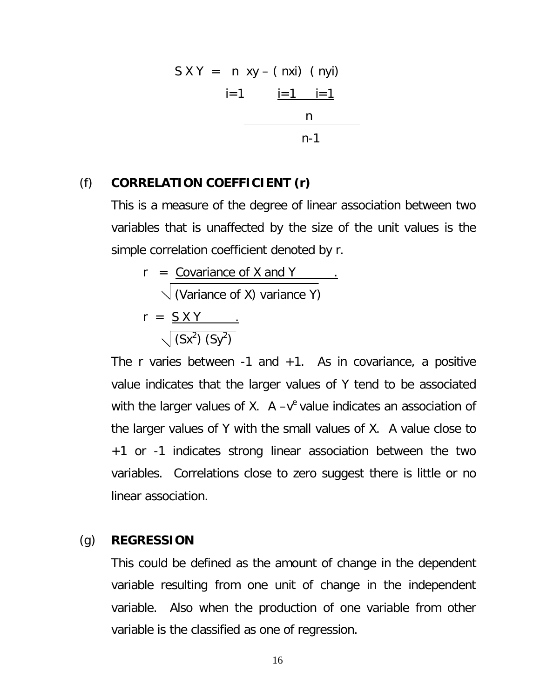$$
SXY = n xy - (nxi) (nyi)
$$
  
 
$$
i=1 \t i=1 \t n
$$

### (f) **CORRELATION COEFFICIENT (r)**

This is a measure of the degree of linear association between two variables that is unaffected by the size of the unit values is the simple correlation coefficient denoted by r.

$$
r = \frac{\text{Covariance of X and Y}}{\text{(Variance of X) variance Y)}}
$$
\n
$$
r = \frac{S X Y}{\sqrt{(Sx^{2})(Sy^{2})}}
$$

The r varies between  $-1$  and  $+1$ . As in covariance, a positive value indicates that the larger values of Y tend to be associated with the larger values of X.  $A - v^e$  value indicates an association of the larger values of Y with the small values of X. A value close to +1 or -1 indicates strong linear association between the two variables. Correlations close to zero suggest there is little or no linear association.

### (g) **REGRESSION**

This could be defined as the amount of change in the dependent variable resulting from one unit of change in the independent variable. Also when the production of one variable from other variable is the classified as one of regression.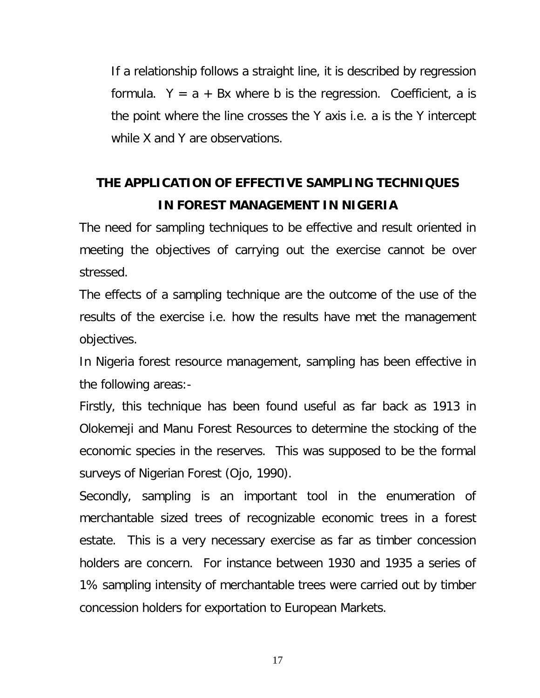If a relationship follows a straight line, it is described by regression formula.  $Y = a + Bx$  where b is the regression. Coefficient, a is the point where the line crosses the Y axis i.e. a is the Y intercept while X and Y are observations.

# **THE APPLICATION OF EFFECTIVE SAMPLING TECHNIQUES IN FOREST MANAGEMENT IN NIGERIA**

The need for sampling techniques to be effective and result oriented in meeting the objectives of carrying out the exercise cannot be over stressed.

The effects of a sampling technique are the outcome of the use of the results of the exercise i.e. how the results have met the management objectives.

In Nigeria forest resource management, sampling has been effective in the following areas:-

Firstly, this technique has been found useful as far back as 1913 in Olokemeji and Manu Forest Resources to determine the stocking of the economic species in the reserves. This was supposed to be the formal surveys of Nigerian Forest (Ojo, 1990).

Secondly, sampling is an important tool in the enumeration of merchantable sized trees of recognizable economic trees in a forest estate. This is a very necessary exercise as far as timber concession holders are concern. For instance between 1930 and 1935 a series of 1% sampling intensity of merchantable trees were carried out by timber concession holders for exportation to European Markets.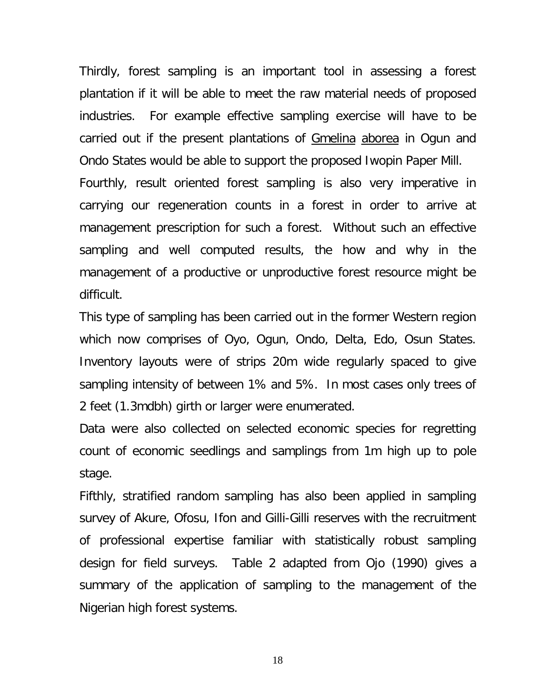Thirdly, forest sampling is an important tool in assessing a forest plantation if it will be able to meet the raw material needs of proposed industries. For example effective sampling exercise will have to be carried out if the present plantations of Gmelina aborea in Ogun and Ondo States would be able to support the proposed Iwopin Paper Mill. Fourthly, result oriented forest sampling is also very imperative in carrying our regeneration counts in a forest in order to arrive at management prescription for such a forest. Without such an effective sampling and well computed results, the how and why in the management of a productive or unproductive forest resource might be difficult.

This type of sampling has been carried out in the former Western region which now comprises of Oyo, Ogun, Ondo, Delta, Edo, Osun States. Inventory layouts were of strips 20m wide regularly spaced to give sampling intensity of between 1% and 5%. In most cases only trees of 2 feet (1.3mdbh) girth or larger were enumerated.

Data were also collected on selected economic species for regretting count of economic seedlings and samplings from 1m high up to pole stage.

Fifthly, stratified random sampling has also been applied in sampling survey of Akure, Ofosu, Ifon and Gilli-Gilli reserves with the recruitment of professional expertise familiar with statistically robust sampling design for field surveys. Table 2 adapted from Ojo (1990) gives a summary of the application of sampling to the management of the Nigerian high forest systems.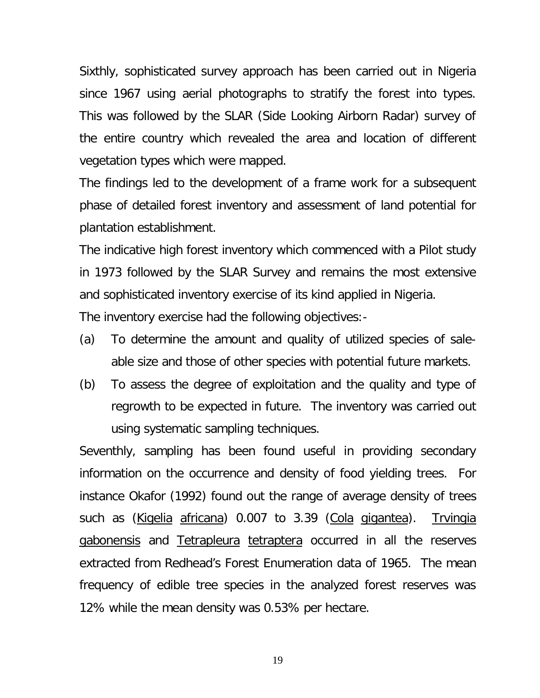Sixthly, sophisticated survey approach has been carried out in Nigeria since 1967 using aerial photographs to stratify the forest into types. This was followed by the SLAR (Side Looking Airborn Radar) survey of the entire country which revealed the area and location of different vegetation types which were mapped.

The findings led to the development of a frame work for a subsequent phase of detailed forest inventory and assessment of land potential for plantation establishment.

The indicative high forest inventory which commenced with a Pilot study in 1973 followed by the SLAR Survey and remains the most extensive and sophisticated inventory exercise of its kind applied in Nigeria.

The inventory exercise had the following objectives:-

- (a) To determine the amount and quality of utilized species of saleable size and those of other species with potential future markets.
- (b) To assess the degree of exploitation and the quality and type of regrowth to be expected in future. The inventory was carried out using systematic sampling techniques.

Seventhly, sampling has been found useful in providing secondary information on the occurrence and density of food yielding trees. For instance Okafor (1992) found out the range of average density of trees such as (Kigelia africana) 0.007 to 3.39 (Cola gigantea). Trvingia gabonensis and Tetrapleura tetraptera occurred in all the reserves extracted from Redhead's Forest Enumeration data of 1965. The mean frequency of edible tree species in the analyzed forest reserves was 12% while the mean density was 0.53% per hectare.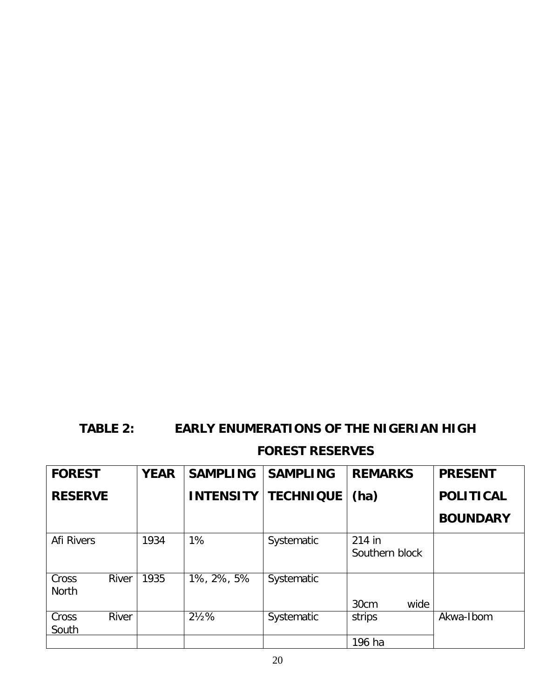## **TABLE 2: EARLY ENUMERATIONS OF THE NIGERIAN HIGH**

## **FOREST RESERVES**

| <b>FOREST</b>         |              | <b>YEAR</b> | <b>SAMPLING</b>  | <b>SAMPLING</b>  | <b>REMARKS</b>           | <b>PRESENT</b>   |
|-----------------------|--------------|-------------|------------------|------------------|--------------------------|------------------|
| <b>RESERVE</b>        |              |             | <b>INTENSITY</b> | <b>TECHNIQUE</b> | (ha)                     | <b>POLITICAL</b> |
|                       |              |             |                  |                  |                          | <b>BOUNDARY</b>  |
| <b>Afi Rivers</b>     |              | 1934        | 1%               | Systematic       | 214 in<br>Southern block |                  |
| Cross<br><b>North</b> | <b>River</b> | 1935        | 1%, 2%, 5%       | Systematic       | wide<br>30cm             |                  |
| Cross<br>South        | <b>River</b> |             | $2\frac{1}{2}\%$ | Systematic       | strips                   | Akwa-Ibom        |
|                       |              |             |                  |                  | 196 ha                   |                  |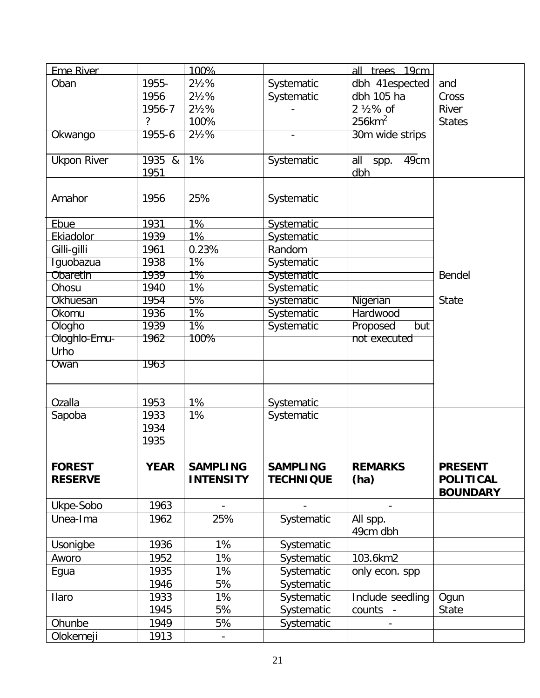| <b>Eme River</b>   |             | 100%             |                   | all trees 19cm        |                  |
|--------------------|-------------|------------------|-------------------|-----------------------|------------------|
| Oban               | 1955-       | $2\frac{1}{2}\%$ | Systematic        | dbh 41espected        | and              |
|                    | 1956        | $2\frac{1}{2}\%$ | Systematic        | dbh 105 ha            | Cross            |
|                    | 1956-7      | $2\frac{1}{2}\%$ |                   | $2\frac{1}{2}\%$ of   | River            |
|                    | ?           | 100%             |                   | $256$ km <sup>2</sup> | <b>States</b>    |
| Okwango            | 1955-6      | $2\frac{1}{2}\%$ |                   | 30m wide strips       |                  |
|                    |             |                  |                   |                       |                  |
| <b>Ukpon River</b> | 1935 &      | 1%               | Systematic        | all<br>spp. 49cm      |                  |
|                    | 1951        |                  |                   | dbh                   |                  |
| Amahor             | 1956        | 25%              | Systematic        |                       |                  |
|                    |             |                  |                   |                       |                  |
| Ebue               | 1931        | 1%               | <b>Systematic</b> |                       |                  |
| Ekiadolor          | 1939        | 1%               | <b>Systematic</b> |                       |                  |
| Gilli-gilli        | 1961        | 0.23%            | Random            |                       |                  |
| Iguobazua          | 1938        | $\overline{1\%}$ | Systematic        |                       |                  |
| Obaretin           | 1939        | 1%               | <b>Systematic</b> |                       | Bendel           |
| Ohosu              | 1940        | 1%               | Systematic        |                       |                  |
| Okhuesan           | 1954        | 5%               | <b>Systematic</b> | Nigerian              | State            |
| Okomu              | 1936        | 1%               | Systematic        | Hardwood              |                  |
| Ologho             | 1939        | $1\%$            | Systematic        | Proposed<br>but       |                  |
| Ologhlo-Emu-       | 1962        | 100%             |                   | not executed          |                  |
| Urho               |             |                  |                   |                       |                  |
| Owan               | 1963        |                  |                   |                       |                  |
|                    |             |                  |                   |                       |                  |
| Ozalla             | 1953        | 1%               | <b>Systematic</b> |                       |                  |
| Sapoba             | 1933        | 1%               | Systematic        |                       |                  |
|                    | 1934        |                  |                   |                       |                  |
|                    | 1935        |                  |                   |                       |                  |
|                    |             |                  |                   |                       |                  |
| <b>FOREST</b>      | <b>YEAR</b> | <b>SAMPLING</b>  | <b>SAMPLING</b>   | <b>REMARKS</b>        | <b>PRESENT</b>   |
| <b>RESERVE</b>     |             | <b>INTENSITY</b> | <b>TECHNIQUE</b>  | (ha)                  | <b>POLITICAL</b> |
|                    |             |                  |                   |                       | <b>BOUNDARY</b>  |
| Ukpe-Sobo          | 1963        |                  |                   |                       |                  |
| Unea-Ima           | 1962        | 25%              | Systematic        | All spp.              |                  |
|                    |             |                  |                   | 49cm dbh              |                  |
| Usonigbe           | 1936        | 1%               | Systematic        |                       |                  |
| Aworo              | 1952        | 1%               | Systematic        | 103.6km2              |                  |
| Egua               | 1935        | 1%               | Systematic        | only econ. spp        |                  |
|                    | 1946        | 5%               | Systematic        |                       |                  |
| Ilaro              | 1933        | 1%               | Systematic        | Include seedling      | Ogun             |
|                    | 1945        | 5%               | Systematic        | counts -              | State            |
| Ohunbe             | 1949        | 5%               | Systematic        |                       |                  |
| Olokemeji          | 1913        |                  |                   |                       |                  |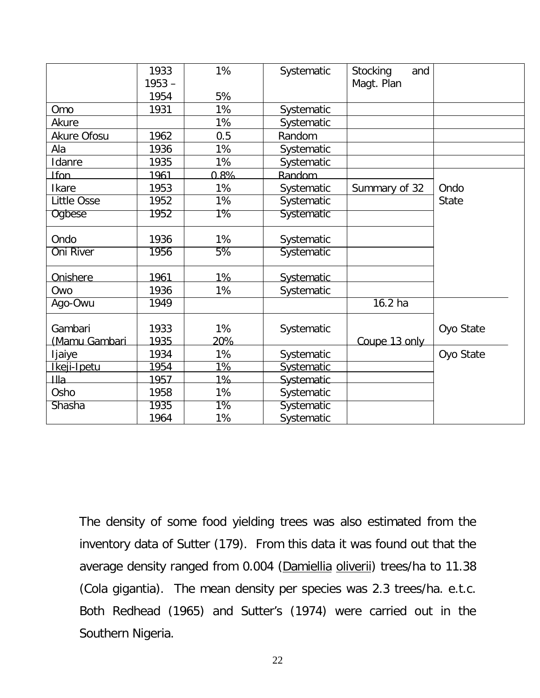|                          | 1933         | 1%        | Systematic        | Stocking<br>and |              |
|--------------------------|--------------|-----------|-------------------|-----------------|--------------|
|                          | $1953 -$     |           |                   | Magt. Plan      |              |
|                          | 1954         | 5%        |                   |                 |              |
| Omo                      | 1931         | 1%        | Systematic        |                 |              |
| Akure                    |              | 1%        | Systematic        |                 |              |
| <b>Akure Ofosu</b>       | 1962         | 0.5       | Random            |                 |              |
| Ala                      | 1936         | 1%        | <b>Systematic</b> |                 |              |
| Idanre                   | 1935         | 1%        | Systematic        |                 |              |
| <b>Ifon</b>              | 1961         | $0.8\%$   | Random            |                 |              |
| <b>Ikare</b>             | 1953         | 1%        | Systematic        | Summary of 32   | Ondo         |
| <b>Little Osse</b>       | 1952         | 1%        | Systematic        |                 | <b>State</b> |
| Ogbese                   | 1952         | 1%        | <b>Systematic</b> |                 |              |
| Ondo                     | 1936         | 1%        | Systematic        |                 |              |
| <b>Oni River</b>         | 1956         | 5%        | Systematic        |                 |              |
| Onishere                 | 1961         | 1%        | <b>Systematic</b> |                 |              |
| Owo                      | 1936         | 1%        | Systematic        |                 |              |
| Ago-Owu                  | 1949         |           |                   | $16.2$ ha       |              |
| Gambari<br>(Mamu Gambari | 1933<br>1935 | 1%<br>20% | Systematic        | Coupe 13 only   | Oyo State    |
| ljaiye                   | 1934         | 1%        | Systematic        |                 | Oyo State    |
| Ikeji-Ipetu              | 1954         | 1%        | <b>Systematic</b> |                 |              |
| Ша                       | 1957         | 1%        | Systematic        |                 |              |
| Osho                     | 1958         | 1%        | Systematic        |                 |              |
| Shasha                   | 1935         | $1\%$     | <b>Systematic</b> |                 |              |
|                          | 1964         | 1%        | Systematic        |                 |              |

The density of some food yielding trees was also estimated from the inventory data of Sutter (179). From this data it was found out that the average density ranged from 0.004 (Damiellia oliverii) trees/ha to 11.38 (Cola gigantia). The mean density per species was 2.3 trees/ha. e.t.c. Both Redhead (1965) and Sutter's (1974) were carried out in the Southern Nigeria.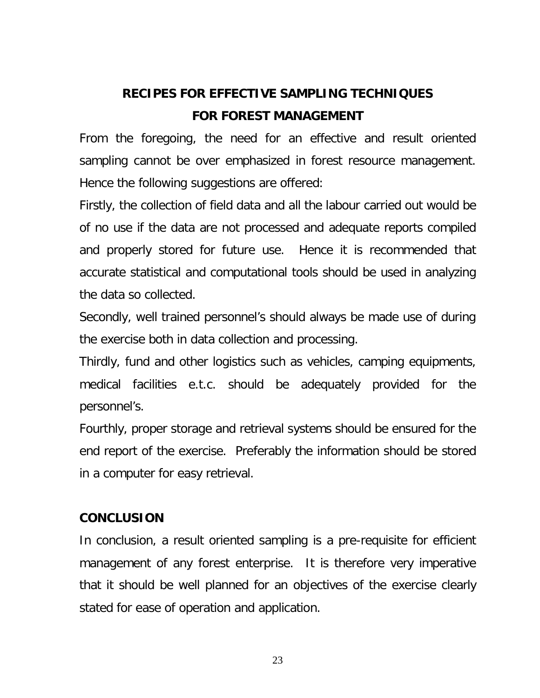# **RECIPES FOR EFFECTIVE SAMPLING TECHNIQUES FOR FOREST MANAGEMENT**

From the foregoing, the need for an effective and result oriented sampling cannot be over emphasized in forest resource management. Hence the following suggestions are offered:

Firstly, the collection of field data and all the labour carried out would be of no use if the data are not processed and adequate reports compiled and properly stored for future use. Hence it is recommended that accurate statistical and computational tools should be used in analyzing the data so collected.

Secondly, well trained personnel's should always be made use of during the exercise both in data collection and processing.

Thirdly, fund and other logistics such as vehicles, camping equipments, medical facilities e.t.c. should be adequately provided for the personnel's.

Fourthly, proper storage and retrieval systems should be ensured for the end report of the exercise. Preferably the information should be stored in a computer for easy retrieval.

## **CONCLUSION**

In conclusion, a result oriented sampling is a pre-requisite for efficient management of any forest enterprise. It is therefore very imperative that it should be well planned for an objectives of the exercise clearly stated for ease of operation and application.